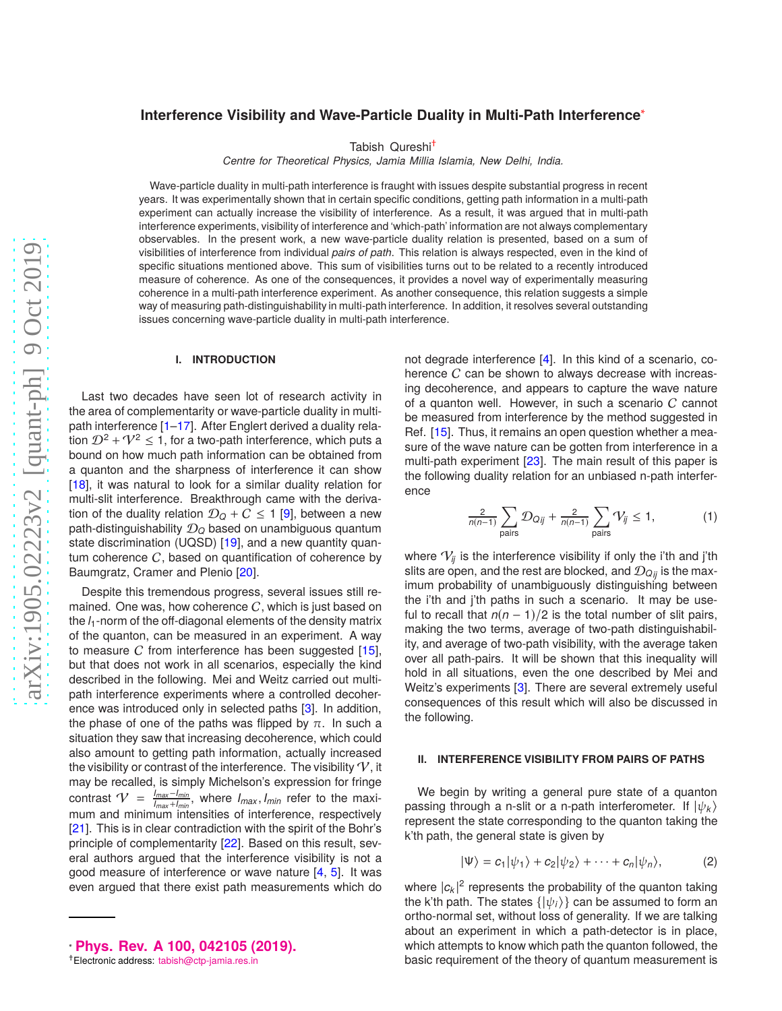# **Interference Visibility and Wave-Particle Duality in Multi-Path Interference**[∗](#page-0-0)

Tabish Qureshi[†](#page-0-1)

*Centre for Theoretical Physics, Jamia Millia Islamia, New Delhi, India.*

Wave-particle duality in multi-path interference is fraught with issues despite substantial progress in recent years. It was experimentally shown that in certain specific conditions, getting path information in a multi-path experiment can actually increase the visibility of interference. As a result, it was argued that in multi-path interference experiments, visibility of interference and 'which-path' information are not always complementary observables. In the present work, a new wave-particle duality relation is presented, based on a sum of visibilities of interference from individual *pairs of path*. This relation is always respected, even in the kind of specific situations mentioned above. This sum of visibilities turns out to be related to a recently introduced measure of coherence. As one of the consequences, it provides a novel way of experimentally measuring coherence in a multi-path interference experiment. As another consequence, this relation suggests a simple way of measuring path-distinguishability in multi-path interference. In addition, it resolves several outstanding issues concerning wave-particle duality in multi-path interference.

#### **I. INTRODUCTION**

Last two decades have seen lot of research activity in the area of complementarity or wave-particle duality in multipath interference [\[1](#page-3-0)[–17](#page-3-1)]. After Englert derived a duality relation  $\mathcal{D}^2 + \mathcal{V}^2 \leq 1$ , for a two-path interference, which puts a bound on how much path information can be obtained from a quanton and the sharpness of interference it can show [\[18\]](#page-3-2), it was natural to look for a similar duality relation for multi-slit interference. Breakthrough came with the derivation of the duality relation  $\mathcal{D}_Q + C \leq 1$  [\[9](#page-3-3)], between a new path-distinguishability D*<sup>Q</sup>* based on unambiguous quantum state discrimination (UQSD) [\[19\]](#page-3-4), and a new quantity quantum coherence  $C$ , based on quantification of coherence by Baumgratz, Cramer and Plenio [\[20](#page-3-5)].

Despite this tremendous progress, several issues still remained. One was, how coherence  $C$ , which is just based on the *l*1-norm of the off-diagonal elements of the density matrix of the quanton, can be measured in an experiment. A way to measure  $C$  from interference has been suggested  $[15]$ , but that does not work in all scenarios, especially the kind described in the following. Mei and Weitz carried out multipath interference experiments where a controlled decoherence was introduced only in selected paths [\[3\]](#page-3-7). In addition, the phase of one of the paths was flipped by  $\pi$ . In such a situation they saw that increasing decoherence, which could also amount to getting path information, actually increased the visibility or contrast of the interference. The visibility  $V$ , it may be recalled, is simply Michelson's expression for fringe contrast  $V = \frac{I_{max}-I_{min}}{I_{max}+I_{min}}$ , where  $I_{max}, I_{min}$  refer to the maximum and minimum intensities of interference, respectively [\[21\]](#page-3-8). This is in clear contradiction with the spirit of the Bohr's principle of complementarity [\[22](#page-3-9)]. Based on this result, several authors argued that the interference visibility is not a good measure of interference or wave nature [\[4](#page-3-10), [5](#page-3-11)]. It was even argued that there exist path measurements which do

not degrade interference [\[4](#page-3-10)]. In this kind of a scenario, coherence  $C$  can be shown to always decrease with increasing decoherence, and appears to capture the wave nature of a quanton well. However, in such a scenario C cannot be measured from interference by the method suggested in Ref. [\[15](#page-3-6)]. Thus, it remains an open question whether a measure of the wave nature can be gotten from interference in a multi-path experiment [\[23](#page-3-12)]. The main result of this paper is the following duality relation for an unbiased n-path interference

$$
\frac{2}{n(n-1)}\sum_{\text{pairs}}\mathcal{D}_{Qij} + \frac{2}{n(n-1)}\sum_{\text{pairs}}\mathcal{V}_{ij} \le 1,\tag{1}
$$

where  $V_{ij}$  is the interference visibility if only the i'th and j'th slits are open, and the rest are blocked, and  $\mathcal{D}_{Q_{ij}}$  is the maximum probability of unambiguously distinguishing between the i'th and j'th paths in such a scenario. It may be useful to recall that  $n(n - 1)/2$  is the total number of slit pairs, making the two terms, average of two-path distinguishability, and average of two-path visibility, with the average taken over all path-pairs. It will be shown that this inequality will hold in all situations, even the one described by Mei and Weitz's experiments [\[3](#page-3-7)]. There are several extremely useful consequences of this result which will also be discussed in the following.

## **II. INTERFERENCE VISIBILITY FROM PAIRS OF PATHS**

We begin by writing a general pure state of a quanton passing through a n-slit or a n-path interferometer. If  $|\psi_k\rangle$ represent the state corresponding to the quanton taking the k'th path, the general state is given by

$$
|\Psi\rangle = c_1|\psi_1\rangle + c_2|\psi_2\rangle + \cdots + c_n|\psi_n\rangle, \qquad (2)
$$

where  $|c_k|^2$  represents the probability of the quanton taking the k'th path. The states  $\{|\psi_i\rangle\}$  can be assumed to form an ortho-normal set, without loss of generality. If we are talking about an experiment in which a path-detector is in place, which attempts to know which path the quanton followed, the basic requirement of the theory of quantum measurement is

<span id="page-0-0"></span><sup>∗</sup> **[Phys. Rev. A 100, 042105 \(2019\).](http://dx.doi.org/10.1103/PhysRevA.100.042105)**

<span id="page-0-1"></span><sup>†</sup>Electronic address: [tabish@ctp-jamia.res.in](mailto:tabish@ctp-jamia.res.in)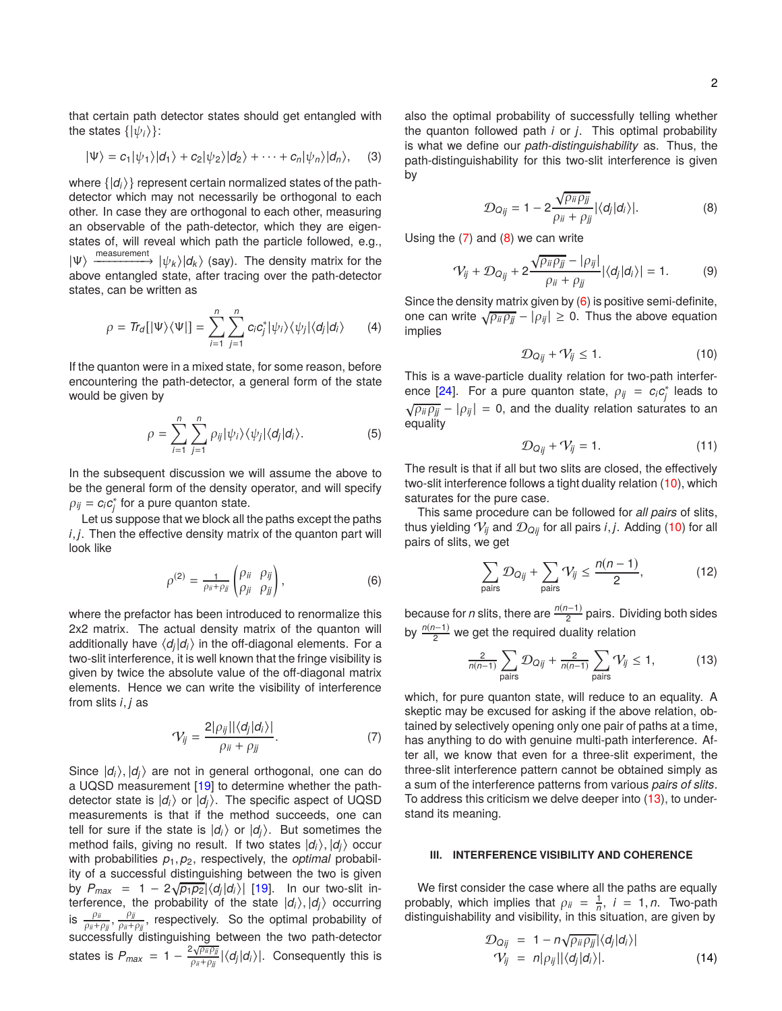that certain path detector states should get entangled with the states  $\{|\psi_i\rangle\}$ :

$$
|\Psi\rangle = c_1 |\psi_1\rangle |d_1\rangle + c_2 |\psi_2\rangle |d_2\rangle + \cdots + c_n |\psi_n\rangle |d_n\rangle, \quad (3)
$$

where  $\{|d_i\rangle\}$  represent certain normalized states of the pathdetector which may not necessarily be orthogonal to each other. In case they are orthogonal to each other, measuring an observable of the path-detector, which they are eigenstates of, will reveal which path the particle followed, e.g.,  $|\Psi\rangle$  measurement  $|\psi_k\rangle|d_k\rangle$  (say). The density matrix for the above entangled state, after tracing over the path-detector states, can be written as

$$
\rho = \textit{Tr}_d[|\Psi\rangle\langle\Psi|] = \sum_{i=1}^n \sum_{j=1}^n c_i c_j^* |\psi_i\rangle\langle\psi_j| \langle d_j|d_i\rangle \qquad (4)
$$

If the quanton were in a mixed state, for some reason, before encountering the path-detector, a general form of the state would be given by

$$
\rho = \sum_{i=1}^{n} \sum_{j=1}^{n} \rho_{ij} |\psi_i\rangle \langle \psi_j | \langle d_j | d_i \rangle.
$$
 (5)

In the subsequent discussion we will assume the above to be the general form of the density operator, and will specify  $\rho_{ij} = c_i c_j^*$  for a pure quanton state.

Let us suppose that we block all the paths except the paths *i*, *j*. Then the effective density matrix of the quanton part will look like

<span id="page-1-2"></span>
$$
\rho^{(2)} = \frac{1}{\rho_{ii} + \rho_{jj}} \begin{pmatrix} \rho_{ii} & \rho_{jj} \\ \rho_{ji} & \rho_{jj} \end{pmatrix},\tag{6}
$$

where the prefactor has been introduced to renormalize this 2x2 matrix. The actual density matrix of the quanton will additionally have  $\langle d_j | d_i \rangle$  in the off-diagonal elements. For a two-slit interference, it is well known that the fringe visibility is given by twice the absolute value of the off-diagonal matrix elements. Hence we can write the visibility of interference from slits *i*, *j* as

<span id="page-1-0"></span>
$$
\mathcal{V}_{ij} = \frac{2|\rho_{ij}||\langle d_j|d_i\rangle|}{\rho_{ii} + \rho_{jj}}.\tag{7}
$$

Since  $|d_i\rangle$ ,  $|d_i\rangle$  are not in general orthogonal, one can do a UQSD measurement [\[19](#page-3-4)] to determine whether the pathdetector state is  $|d_i\rangle$  or  $|d_i\rangle$ . The specific aspect of UQSD measurements is that if the method succeeds, one can tell for sure if the state is  $|d_i\rangle$  or  $|d_i\rangle$ . But sometimes the method fails, giving no result. If two states  $|d_i\rangle$ ,  $|d_i\rangle$  occur with probabilities  $p_1, p_2$ , respectively, the *optimal* probability of a successful distinguishing between the two is given by  $P_{max} = 1 - 2\sqrt{p_1 p_2} |\langle d_i| d_i \rangle|$  [\[19](#page-3-4)]. In our two-slit interference, the probability of the state  $|d_i\rangle$ ,  $|d_j\rangle$  occurring is  $\frac{\rho_{ij}}{\rho_{ii}+\rho_{jj}}$ ,  $\frac{\rho_{jj}}{\rho_{ii}+\rho_{jj}}$ , respectively. So the optimal probability of successfully distinguishing between the two path-detector states is  $P_{max} = 1 - \frac{2\sqrt{p_{ii}p_{jj}}}{p_{ii}+p_{jj}} |\langle d_j|d_i\rangle|$ . Consequently this is

also the optimal probability of successfully telling whether the quanton followed path *i* or *j*. This optimal probability is what we define our *path-distinguishability* as. Thus, the path-distinguishability for this two-slit interference is given by

<span id="page-1-1"></span>
$$
\mathcal{D}_{Qij} = 1 - 2 \frac{\sqrt{\rho_{ii} \rho_{jj}}}{\rho_{ii} + \rho_{jj}} |\langle d_j | d_i \rangle|.
$$
 (8)

Using the  $(7)$  and  $(8)$  we can write

$$
\mathcal{V}_{ij} + \mathcal{D}_{Q_{ij}} + 2 \frac{\sqrt{\rho_{ii} \rho_{jj}} - |\rho_{ij}|}{\rho_{ii} + \rho_{jj}} |\langle d_j | d_i \rangle| = 1.
$$
 (9)

Since the density matrix given by [\(6\)](#page-1-2) is positive semi-definite, one can write  $\sqrt{\rho_{ii}\rho_{jj}} - |\rho_{ij}| \ge 0$ . Thus the above equation implies

<span id="page-1-3"></span>
$$
\mathcal{D}_{Q_{ij}} + \mathcal{V}_{ij} \le 1. \tag{10}
$$

This is a wave-particle duality relation for two-path interfer-ence [\[24](#page-3-13)]. For a pure quanton state,  $\rho_{ij} = c_i c_j^*$  leads to  $\sqrt{\rho_{ii}\rho_{jj}} - |\rho_{ij}| = 0$ , and the duality relation saturates to an equality

$$
\mathcal{D}_{Q_{ij}} + \mathcal{V}_{ij} = 1. \tag{11}
$$

The result is that if all but two slits are closed, the effectively two-slit interference follows a tight duality relation [\(10\)](#page-1-3), which saturates for the pure case.

This same procedure can be followed for *all pairs* of slits, thus yielding  $V_{ij}$  and  $D_{Qij}$  for all pairs *i*, *j*. Adding [\(10\)](#page-1-3) for all pairs of slits, we get

$$
\sum_{\text{pairs}} \mathcal{D}_{Qij} + \sum_{\text{pairs}} V_{ij} \le \frac{n(n-1)}{2},\tag{12}
$$

because for *n* slits, there are  $\frac{n(n-1)}{2}$  pairs. Dividing both sides by  $\frac{n(n-1)}{2}$  we get the required duality relation

<span id="page-1-4"></span>
$$
\frac{2}{n(n-1)}\sum_{\text{pairs}}\mathcal{D}_{Q_{ij}} + \frac{2}{n(n-1)}\sum_{\text{pairs}}\mathcal{V}_{ij} \le 1,\tag{13}
$$

which, for pure quanton state, will reduce to an equality. A skeptic may be excused for asking if the above relation, obtained by selectively opening only one pair of paths at a time, has anything to do with genuine multi-path interference. After all, we know that even for a three-slit experiment, the three-slit interference pattern cannot be obtained simply as a sum of the interference patterns from various *pairs of slits*. To address this criticism we delve deeper into [\(13\)](#page-1-4), to understand its meaning.

## **III. INTERFERENCE VISIBILITY AND COHERENCE**

We first consider the case where all the paths are equally probably, which implies that  $\rho_{ii} = \frac{1}{n}$ ,  $i = 1, n$ . Two-path distinguishability and visibility, in this situation, are given by

$$
\mathcal{D}_{Qjj} = 1 - n \sqrt{\rho_{ij} \rho_{jj}} |\langle d_j | d_i \rangle|
$$
  
\n
$$
\mathcal{V}_{ij} = n |\rho_{ij}| |\langle d_j | d_i \rangle|.
$$
 (14)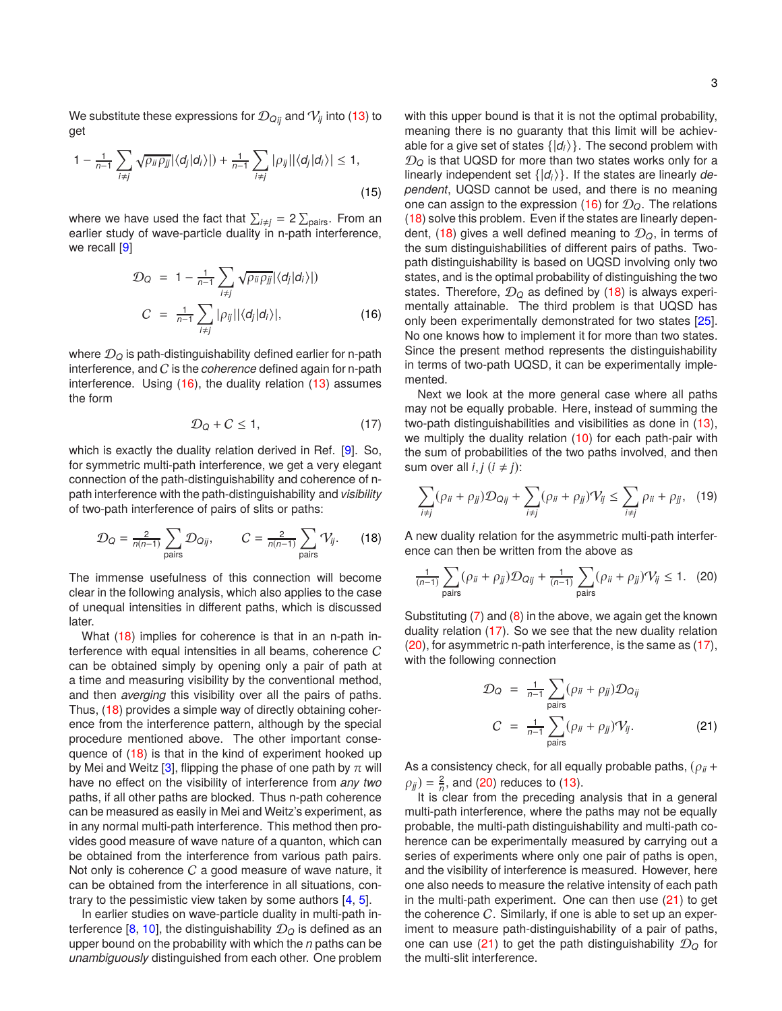We substitute these expressions for  $\mathcal{D}_{Q_{ij}}$  and  $V_{ij}$  into [\(13\)](#page-1-4) to get

$$
1 - \frac{1}{n-1} \sum_{i \neq j} \sqrt{\rho_{ii} \rho_{jj}} |\langle d_j | d_i \rangle| + \frac{1}{n-1} \sum_{i \neq j} |\rho_{ij}| |\langle d_j | d_i \rangle| \leq 1,
$$
\n(15)

where we have used the fact that  $\sum_{i\neq j}$  = 2  $\sum_{\mathrm{pairs}}$ . From an earlier study of wave-particle duality in n-path interference, we recall [\[9](#page-3-3)]

<span id="page-2-0"></span>
$$
\mathcal{D}_Q = 1 - \frac{1}{n-1} \sum_{i \neq j} \sqrt{\rho_{ii} \rho_{jj}} |\langle d_j | d_i \rangle|)
$$
  

$$
C = \frac{1}{n-1} \sum_{i \neq j} |\rho_{ij}| |\langle d_j | d_i \rangle|, \qquad (16)
$$

where  $\mathcal{D}_{\Omega}$  is path-distinguishability defined earlier for n-path interference, and C is the *coherence* defined again for n-path interference. Using [\(16\)](#page-2-0), the duality relation [\(13\)](#page-1-4) assumes the form

<span id="page-2-2"></span>
$$
\mathcal{D}_Q + C \le 1,\tag{17}
$$

which is exactly the duality relation derived in Ref. [\[9](#page-3-3)]. So, for symmetric multi-path interference, we get a very elegant connection of the path-distinguishability and coherence of npath interference with the path-distinguishability and *visibility* of two-path interference of pairs of slits or paths:

<span id="page-2-1"></span>
$$
\mathcal{D}_Q = \frac{2}{n(n-1)} \sum_{\text{pairs}} \mathcal{D}_{Q_{ij}}, \qquad C = \frac{2}{n(n-1)} \sum_{\text{pairs}} \mathcal{V}_{ij}. \qquad (18)
$$

The immense usefulness of this connection will become clear in the following analysis, which also applies to the case of unequal intensities in different paths, which is discussed later.

What [\(18\)](#page-2-1) implies for coherence is that in an n-path interference with equal intensities in all beams, coherence  $C$ can be obtained simply by opening only a pair of path at a time and measuring visibility by the conventional method, and then *averging* this visibility over all the pairs of paths. Thus, [\(18\)](#page-2-1) provides a simple way of directly obtaining coherence from the interference pattern, although by the special procedure mentioned above. The other important consequence of [\(18\)](#page-2-1) is that in the kind of experiment hooked up by Mei and Weitz [\[3](#page-3-7)], flipping the phase of one path by  $\pi$  will have no effect on the visibility of interference from *any two* paths, if all other paths are blocked. Thus n-path coherence can be measured as easily in Mei and Weitz's experiment, as in any normal multi-path interference. This method then provides good measure of wave nature of a quanton, which can be obtained from the interference from various path pairs. Not only is coherence  $C$  a good measure of wave nature, it can be obtained from the interference in all situations, contrary to the pessimistic view taken by some authors [\[4,](#page-3-10) [5](#page-3-11)].

In earlier studies on wave-particle duality in multi-path in-terference [\[8](#page-3-14), [10\]](#page-3-15), the distinguishability  $\mathcal{D}_0$  is defined as an upper bound on the probability with which the *n* paths can be *unambiguously* distinguished from each other. One problem with this upper bound is that it is not the optimal probability, meaning there is no guaranty that this limit will be achievable for a give set of states  $\{|d_i\rangle\}$ . The second problem with  $D_Q$  is that UQSD for more than two states works only for a linearly independent set  $\{|d_i\rangle\}$ . If the states are linearly *dependent*, UQSD cannot be used, and there is no meaning one can assign to the expression [\(16\)](#page-2-0) for  $\mathcal{D}_Q$ . The relations [\(18\)](#page-2-1) solve this problem. Even if the states are linearly depen-dent, [\(18\)](#page-2-1) gives a well defined meaning to  $\mathcal{D}_Q$ , in terms of the sum distinguishabilities of different pairs of paths. Twopath distinguishability is based on UQSD involving only two states, and is the optimal probability of distinguishing the two states. Therefore,  $\mathcal{D}_Q$  as defined by [\(18\)](#page-2-1) is always experimentally attainable. The third problem is that UQSD has only been experimentally demonstrated for two states [\[25\]](#page-3-16). No one knows how to implement it for more than two states. Since the present method represents the distinguishability in terms of two-path UQSD, it can be experimentally implemented.

Next we look at the more general case where all paths may not be equally probable. Here, instead of summing the two-path distinguishabilities and visibilities as done in [\(13\)](#page-1-4), we multiply the duality relation [\(10\)](#page-1-3) for each path-pair with the sum of probabilities of the two paths involved, and then sum over all  $i, j$  ( $i \neq j$ ):

$$
\sum_{i \neq j} (\rho_{ii} + \rho_{jj}) \mathcal{D}_{Qjj} + \sum_{i \neq j} (\rho_{ii} + \rho_{jj}) \mathcal{V}_{ij} \leq \sum_{i \neq j} \rho_{ii} + \rho_{jj}, \quad (19)
$$

A new duality relation for the asymmetric multi-path interference can then be written from the above as

<span id="page-2-3"></span>
$$
\frac{1}{(n-1)}\sum_{\text{pairs}}(\rho_{ii}+\rho_{jj})\mathcal{D}_{Qij}+\frac{1}{(n-1)}\sum_{\text{pairs}}(\rho_{ii}+\rho_{jj})\mathcal{V}_{ij}\leq 1. \quad (20)
$$

Substituting [\(7\)](#page-1-0) and [\(8\)](#page-1-1) in the above, we again get the known duality relation [\(17\)](#page-2-2). So we see that the new duality relation [\(20\)](#page-2-3), for asymmetric n-path interference, is the same as [\(17\)](#page-2-2), with the following connection

<span id="page-2-4"></span>
$$
\mathcal{D}_Q = \frac{1}{n-1} \sum_{\text{pairs}} (\rho_{ij} + \rho_{jj}) \mathcal{D}_{Qjj}
$$
\n
$$
C = \frac{1}{n-1} \sum_{\text{pairs}} (\rho_{ij} + \rho_{jj})' V_{ij}.
$$
\n(21)

As a consistency check, for all equally probable paths,  $(\rho_{ii} +$  $\rho_{jj}$ ) =  $\frac{2}{n}$ , and [\(20\)](#page-2-3) reduces to [\(13\)](#page-1-4).

It is clear from the preceding analysis that in a general multi-path interference, where the paths may not be equally probable, the multi-path distinguishability and multi-path coherence can be experimentally measured by carrying out a series of experiments where only one pair of paths is open, and the visibility of interference is measured. However, here one also needs to measure the relative intensity of each path in the multi-path experiment. One can then use  $(21)$  to get the coherence  $C$ . Similarly, if one is able to set up an experiment to measure path-distinguishability of a pair of paths, one can use  $(21)$  to get the path distinguishability  $\mathcal{D}_Q$  for the multi-slit interference.